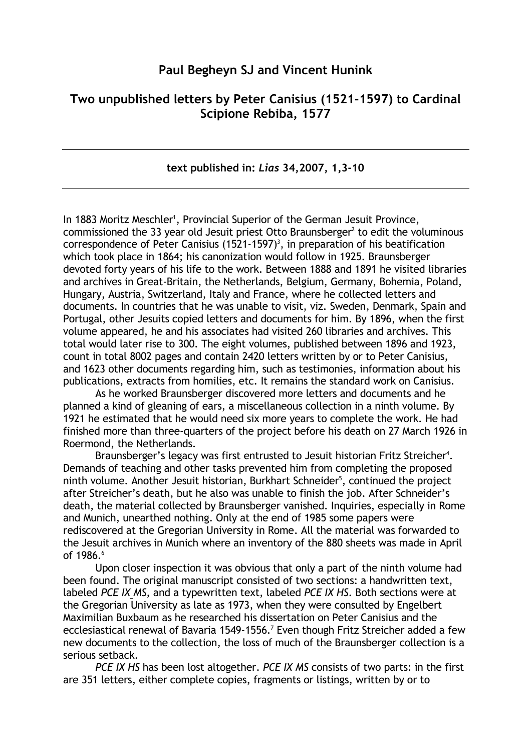## **Paul Begheyn SJ and Vincent Hunink**

# Two unpublished letters by Peter Canisius (1521-1597) to Cardinal Scipione Rebiba, 1577

### text published in: Lias 34, 2007, 1, 3-10

In 1883 Moritz Meschler<sup>1</sup>, Provincial Superior of the German Jesuit Province, commissioned the 33 year old Jesuit priest Otto Braunsberger<sup>2</sup> to edit the voluminous correspondence of Peter Canisius (1521-1597)<sup>3</sup>, in preparation of his beatification which took place in 1864; his canonization would follow in 1925. Braunsberger devoted forty years of his life to the work. Between 1888 and 1891 he visited libraries and archives in Great-Britain, the Netherlands, Belgium, Germany, Bohemia, Poland, Hungary, Austria, Switzerland, Italy and France, where he collected letters and documents. In countries that he was unable to visit, viz. Sweden, Denmark, Spain and Portugal, other Jesuits copied letters and documents for him. By 1896, when the first volume appeared, he and his associates had visited 260 libraries and archives. This total would later rise to 300. The eight volumes, published between 1896 and 1923, count in total 8002 pages and contain 2420 letters written by or to Peter Canisius, and 1623 other documents regarding him, such as testimonies, information about his publications, extracts from homilies, etc. It remains the standard work on Canisius.

As he worked Braunsberger discovered more letters and documents and he planned a kind of gleaning of ears, a miscellaneous collection in a ninth volume. By 1921 he estimated that he would need six more years to complete the work. He had finished more than three-quarters of the project before his death on 27 March 1926 in Roermond, the Netherlands.

Braunsberger's legacy was first entrusted to Jesuit historian Fritz Streicher<sup>4</sup>. Demands of teaching and other tasks prevented him from completing the proposed ninth volume. Another Jesuit historian, Burkhart Schneider<sup>5</sup>, continued the project after Streicher's death, but he also was unable to finish the job. After Schneider's death, the material collected by Braunsberger vanished. Inquiries, especially in Rome and Munich, unearthed nothing. Only at the end of 1985 some papers were rediscovered at the Gregorian University in Rome. All the material was forwarded to the Jesuit archives in Munich where an inventory of the 880 sheets was made in April of 1986.<sup>6</sup>

Upon closer inspection it was obvious that only a part of the ninth volume had been found. The original manuscript consisted of two sections: a handwritten text, labeled PCE IX MS, and a typewritten text, labeled PCE IX HS. Both sections were at the Gregorian University as late as 1973, when they were consulted by Engelbert Maximilian Buxbaum as he researched his dissertation on Peter Canisius and the ecclesiastical renewal of Bavaria 1549-1556.<sup>7</sup> Even though Fritz Streicher added a few new documents to the collection, the loss of much of the Braunsberger collection is a serious setback.

PCE IX HS has been lost altogether. PCE IX MS consists of two parts: in the first are 351 letters, either complete copies, fragments or listings, written by or to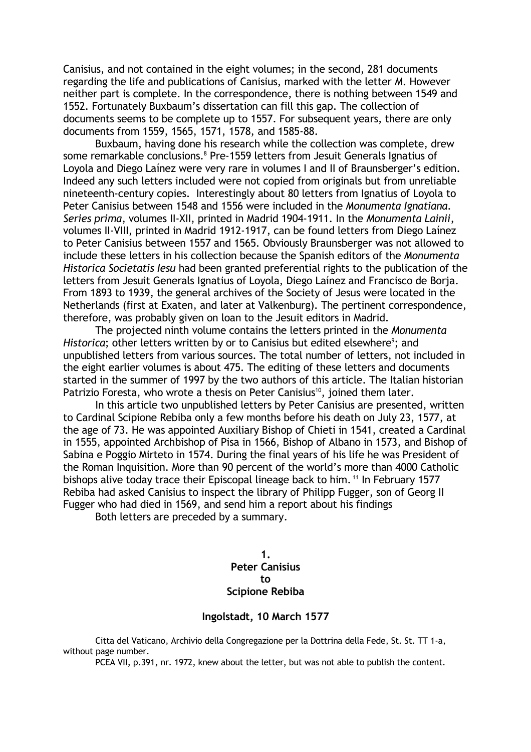Canisius, and not contained in the eight volumes; in the second, 281 documents regarding the life and publications of Canisius, marked with the letter M. However neither part is complete. In the correspondence, there is nothing between 1549 and 1552. Fortunately Buxbaum's dissertation can fill this gap. The collection of documents seems to be complete up to 1557. For subsequent years, there are only documents from 1559, 1565, 1571, 1578, and 1585-88.

Buxbaum, having done his research while the collection was complete, drew some remarkable conclusions.<sup>8</sup> Pre-1559 letters from Jesuit Generals Ignatius of Loyola and Diego Lainez were very rare in volumes I and II of Braunsberger's edition. Indeed any such letters included were not copied from originals but from unreliable nineteenth-century copies. Interestingly about 80 letters from Ignatius of Loyola to Peter Canisius between 1548 and 1556 were included in the Monumenta Ignatiana. Series prima, volumes II-XII, printed in Madrid 1904-1911. In the Monumenta Lainii, volumes II-VIII, printed in Madrid 1912-1917, can be found letters from Diego Lainez to Peter Canisius between 1557 and 1565. Obviously Braunsberger was not allowed to include these letters in his collection because the Spanish editors of the Monumenta Historica Societatis lesu had been granted preferential rights to the publication of the letters from Jesuit Generals Ignatius of Lovola, Diego Lainez and Francisco de Boria. From 1893 to 1939, the general archives of the Society of Jesus were located in the Netherlands (first at Exaten, and later at Valkenburg). The pertinent correspondence, therefore, was probably given on loan to the Jesuit editors in Madrid.

The projected ninth volume contains the letters printed in the Monumenta Historica; other letters written by or to Canisius but edited elsewhere<sup>9</sup>; and unpublished letters from various sources. The total number of letters, not included in the eight earlier volumes is about 475. The editing of these letters and documents started in the summer of 1997 by the two authors of this article. The Italian historian Patrizio Foresta, who wrote a thesis on Peter Canisius<sup>10</sup>, joined them later.

In this article two unpublished letters by Peter Canisius are presented, written to Cardinal Scipione Rebiba only a few months before his death on July 23, 1577, at the age of 73. He was appointed Auxiliary Bishop of Chieti in 1541, created a Cardinal in 1555, appointed Archbishop of Pisa in 1566, Bishop of Albano in 1573, and Bishop of Sabina e Poggio Mirteto in 1574. During the final years of his life he was President of the Roman Inquisition. More than 90 percent of the world's more than 4000 Catholic bishops alive today trace their Episcopal lineage back to him.<sup>11</sup> In February 1577 Rebiba had asked Canisius to inspect the library of Philipp Fugger, son of Georg II Fugger who had died in 1569, and send him a report about his findings

Both letters are preceded by a summary.

### $\mathbf 1$ . **Peter Canisius** tο **Scipione Rebiba**

#### Ingolstadt, 10 March 1577

Citta del Vaticano, Archivio della Congregazione per la Dottrina della Fede, St. St. TT 1-a, without page number.

PCEA VII, p.391, nr. 1972, knew about the letter, but was not able to publish the content.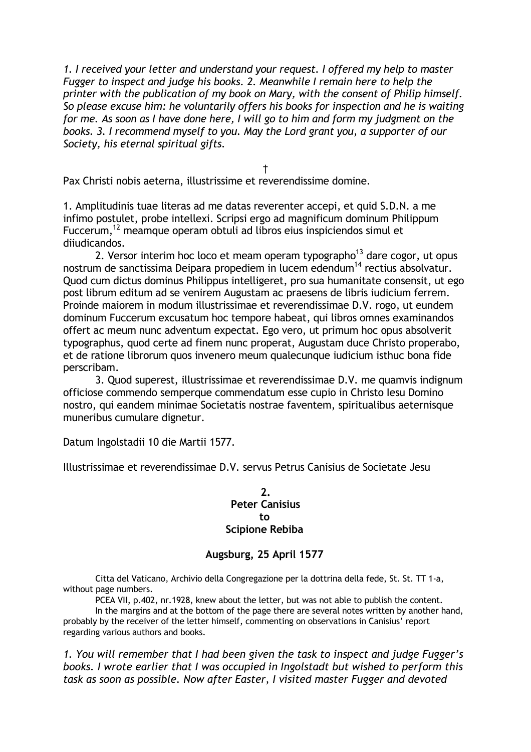1. I received your letter and understand your request. I offered my help to master Fugger to inspect and judge his books. 2. Meanwhile I remain here to help the printer with the publication of my book on Mary, with the consent of Philip himself. So please excuse him: he voluntarily offers his books for inspection and he is waiting for me. As soon as I have done here, I will go to him and form my judgment on the books. 3. I recommend myself to you. May the Lord grant you, a supporter of our Society, his eternal spiritual gifts.

 $\mathsf{t}$ 

Pax Christi nobis aeterna, illustrissime et reverendissime domine.

1. Amplitudinis tuae literas ad me datas reverenter accepi, et quid S.D.N. a me infimo postulet, probe intellexi. Scripsi ergo ad magnificum dominum Philippum Fuccerum, <sup>12</sup> meamque operam obtuli ad libros eius inspiciendos simul et dijudicandos.

2. Versor interim hoc loco et meam operam typographo<sup>13</sup> dare cogor, ut opus nostrum de sanctissima Deipara propediem in lucem edendum<sup>14</sup> rectius absolvatur. Quod cum dictus dominus Philippus intelligeret, pro sua humanitate consensit, ut ego post librum editum ad se venirem Augustam ac praesens de libris iudicium ferrem. Proinde maiorem in modum illustrissimae et reverendissimae D.V. rogo, ut eundem dominum Fuccerum excusatum hoc tempore habeat, qui libros omnes examinandos offert ac meum nunc adventum expectat. Ego vero, ut primum hoc opus absolverit typographus, quod certe ad finem nunc properat, Augustam duce Christo properabo, et de ratione librorum quos invenero meum qualecunque iudicium isthuc bona fide perscribam.

3. Quod superest, illustrissimae et reverendissimae D.V. me quamvis indignum officiose commendo semperque commendatum esse cupio in Christo lesu Domino nostro, qui eandem minimae Societatis nostrae faventem, spiritualibus aeternisque muneribus cumulare dignetur.

Datum Ingolstadii 10 die Martii 1577.

Illustrissimae et reverendissimae D.V. servus Petrus Canisius de Societate Jesu

### $2.$ **Peter Canisius** t٥ **Scipione Rebiba**

#### Augsburg, 25 April 1577

Citta del Vaticano, Archivio della Congregazione per la dottrina della fede, St. St. TT 1-a, without page numbers.

PCEA VII, p.402, nr.1928, knew about the letter, but was not able to publish the content.

In the margins and at the bottom of the page there are several notes written by another hand, probably by the receiver of the letter himself, commenting on observations in Canisius' report regarding various authors and books.

1. You will remember that I had been given the task to inspect and judge Fugger's books. I wrote earlier that I was occupied in Ingolstadt but wished to perform this task as soon as possible. Now after Easter, I visited master Fugger and devoted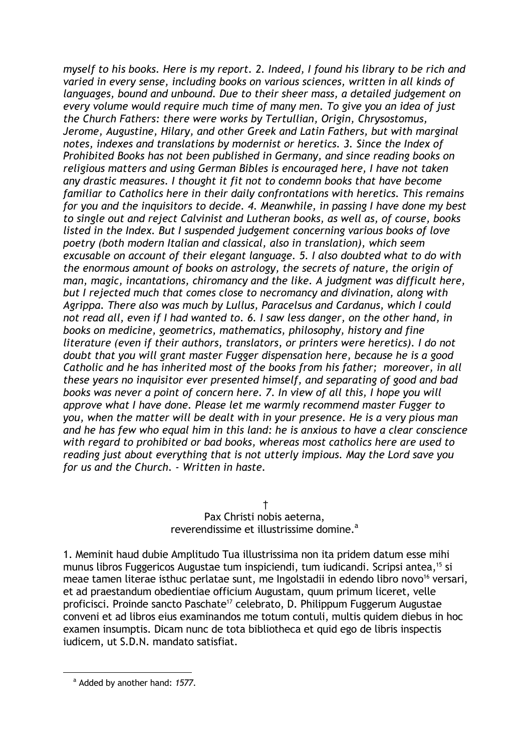myself to his books. Here is my report. 2. Indeed, I found his library to be rich and varied in every sense, including books on various sciences, written in all kinds of languages, bound and unbound. Due to their sheer mass, a detailed judgement on every volume would require much time of many men. To give you an idea of just the Church Fathers: there were works by Tertullian, Origin, Chrysostomus, Jerome, Augustine, Hilary, and other Greek and Latin Fathers, but with marginal notes, indexes and translations by modernist or heretics. 3. Since the Index of Prohibited Books has not been published in Germany, and since reading books on religious matters and using German Bibles is encouraged here, I have not taken any drastic measures. I thought it fit not to condemn books that have become familiar to Catholics here in their daily confrontations with heretics. This remains for you and the inquisitors to decide. 4. Meanwhile, in passing I have done my best to single out and reject Calvinist and Lutheran books, as well as, of course, books listed in the Index. But I suspended judgement concerning various books of love poetry (both modern Italian and classical, also in translation), which seem excusable on account of their elegant language. 5. I also doubted what to do with the enormous amount of books on astrology, the secrets of nature, the origin of man, magic, incantations, chiromancy and the like. A judgment was difficult here, but I rejected much that comes close to necromancy and divination, along with Agrippa. There also was much by Lullus, Paracelsus and Cardanus, which I could not read all, even if I had wanted to, 6, I saw less danger, on the other hand, in books on medicine, geometrics, mathematics, philosophy, history and fine literature (even if their authors, translators, or printers were heretics). I do not doubt that you will grant master Fugger dispensation here, because he is a good Catholic and he has inherited most of the books from his father; moreover, in all these years no inquisitor ever presented himself, and separating of good and bad books was never a point of concern here. 7. In view of all this, I hope you will approve what I have done. Please let me warmly recommend master Fugger to you, when the matter will be dealt with in your presence. He is a very pious man and he has few who equal him in this land: he is anxious to have a clear conscience with regard to prohibited or bad books, whereas most catholics here are used to reading just about everything that is not utterly impious. May the Lord save you for us and the Church. - Written in haste.

Pax Christi nobis aeterna. reverendissime et illustrissime domine.<sup>a</sup>

1. Meminit haud dubie Amplitudo Tua illustrissima non ita pridem datum esse mihi munus libros Fuggericos Augustae tum inspiciendi, tum iudicandi. Scripsi antea,<sup>15</sup> si meae tamen literae isthuc perlatae sunt, me Ingolstadii in edendo libro novo<sup>16</sup> versari, et ad praestandum obedientiae officium Augustam, quum primum liceret, velle proficisci. Proinde sancto Paschate<sup>17</sup> celebrato, D. Philippum Fuggerum Augustae conveni et ad libros eius examinandos me totum contuli, multis quidem diebus in hoc examen insumptis. Dicam nunc de tota bibliotheca et quid ego de libris inspectis iudicem, ut S.D.N. mandato satisfiat.

<sup>&</sup>lt;sup>a</sup> Added by another hand: 1577.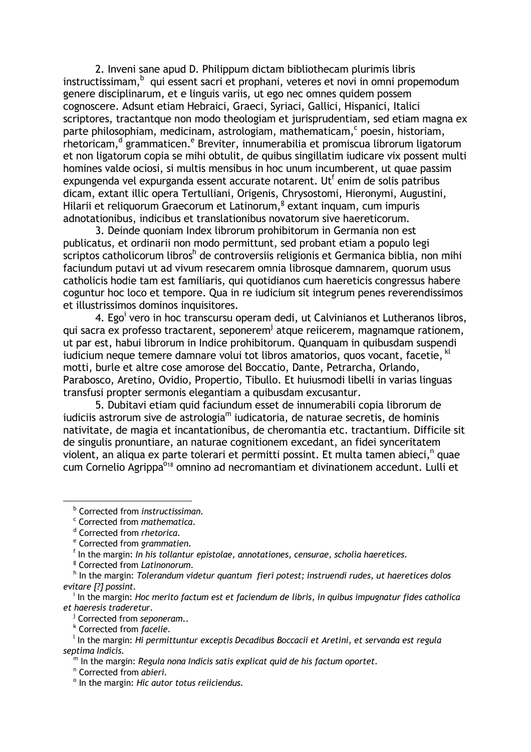2. Inveni sane apud D. Philippum dictam bibliothecam plurimis libris instructissimam,<sup>b</sup> qui essent sacri et prophani, veteres et novi in omni propemodum genere disciplinarum, et e linguis variis, ut ego nec omnes quidem possem cognoscere. Adsunt etiam Hebraici, Graeci, Syriaci, Gallici, Hispanici, Italici scriptores, tractantque non modo theologiam et jurisprudentiam, sed etiam magna ex parte philosophiam, medicinam, astrologiam, mathematicam, poesin, historiam, rhetoricam, <sup>d</sup> grammaticen. <sup>e</sup> Breviter, innumerabilia et promiscua librorum ligatorum et non ligatorum copia se mihi obtulit, de quibus singillatim iudicare vix possent multi homines valde ociosi, si multis mensibus in hoc unum incumberent, ut quae passim expungenda vel expurganda essent accurate notarent. Ut<sup>f</sup> enim de solis patribus dicam, extant illic opera Tertulliani, Origenis, Chrysostomi, Hieronymi, Augustini, Hilarii et reliquorum Graecorum et Latinorum,<sup>g</sup> extant inquam, cum impuris adnotationibus, indicibus et translationibus novatorum sive haereticorum.

3. Deinde quoniam Index librorum prohibitorum in Germania non est publicatus, et ordinarii non modo permittunt, sed probant etiam a populo legi scriptos catholicorum libros<sup>h</sup> de controversiis religionis et Germanica biblia, non mihi faciundum putavi ut ad vivum resecarem omnia librosque damnarem, quorum usus catholicis hodie tam est familiaris, qui quotidianos cum haereticis congressus habere coguntur hoc loco et tempore. Qua in re judicium sit integrum penes reverendissimos et illustrissimos dominos inquisitores.

4. Ego<sup>i</sup> vero in hoc transcursu operam dedi, ut Calvinianos et Lutheranos libros, qui sacra ex professo tractarent, seponerem<sup>j</sup> atque rejicerem, magnamque rationem, ut par est, habui librorum in Indice prohibitorum. Quanquam in quibusdam suspendi judicium neque temere damnare volui tot libros amatorios, quos vocant, facetie, <sup>kl</sup> motti, burle et altre cose amorose del Boccatio, Dante, Petrarcha, Orlando, Parabosco, Aretino, Ovidio, Propertio, Tibullo. Et huiusmodi libelli in varias linguas transfusi propter sermonis elegantiam a quibusdam excusantur.

5. Dubitavi etiam quid faciundum esset de innumerabili copia librorum de judiciis astrorum sive de astrologia<sup>m</sup> judicatoria, de naturae secretis, de hominis nativitate, de magia et incantationibus, de cheromantia etc. tractantium. Difficile sit de singulis pronuntiare, an naturae cognitionem excedant, an fidei synceritatem violent, an aliqua ex parte tolerari et permitti possint. Et multa tamen abieci,<sup>n</sup> quae cum Cornelio Agrippa<sup>o<sub>18</sub></sup> omnino ad necromantiam et divinationem accedunt. Lulli et

<sup>&</sup>lt;sup>b</sup> Corrected from instructissiman.

<sup>&</sup>lt;sup>c</sup> Corrected from mathematica.

<sup>&</sup>lt;sup>d</sup> Corrected from rhetorica.

<sup>&</sup>lt;sup>e</sup> Corrected from grammatien.

 $<sup>f</sup>$  In the margin: In his tollantur epistolae, annotationes, censurae, scholia haeretices.</sup>

<sup>&</sup>lt;sup>g</sup> Corrected from Latinonorum.

h In the margin: Tolerandum videtur quantum fieri potest; instruendi rudes, ut haeretices dolos evitare [?] possint.

In the margin: Hoc merito factum est et faciendum de libris, in quibus impugnatur fides catholica et haeresis traderetur.

<sup>&</sup>lt;sup>j</sup> Corrected from seponeram..

<sup>&</sup>lt;sup>k</sup> Corrected from facelie.

 $\frac{1}{1}$  In the margin: Hi permittuntur exceptis Decadibus Boccacii et Aretini, et servanda est regula septima Indicis.

 $\overline{m}$  In the margin: Regula nona Indicis satis explicat quid de his factum oportet.

<sup>&</sup>lt;sup>n</sup> Corrected from abieri.

<sup>°</sup> In the margin: Hic autor totus reiiciendus.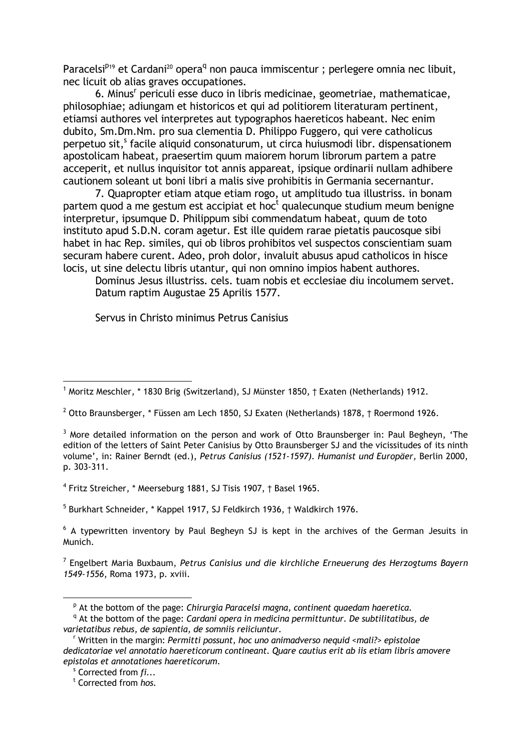Paracelsi<sup>p19</sup> et Cardani<sup>20</sup> opera<sup>q</sup> non pauca immiscentur ; perlegere omnia nec libuit, nec licuit ob alias graves occupationes.

6. Minus<sup>r</sup> periculi esse duco in libris medicinae, geometriae, mathematicae, philosophiae; adiungam et historicos et qui ad politiorem literaturam pertinent, etiamsi authores vel interpretes aut typographos haereticos habeant. Nec enim dubito, Sm.Dm.Nm. pro sua clementia D. Philippo Fuggero, qui vere catholicus perpetuo sit,<sup>5</sup> facile aliquid consonaturum, ut circa huiusmodi libr. dispensationem apostolicam habeat, praesertim quum maiorem horum librorum partem a patre acceperit, et nullus inquisitor tot annis appareat, ipsique ordinarii nullam adhibere cautionem soleant ut boni libri a malis sive prohibitis in Germania secernantur.

7. Quapropter etiam atque etiam rogo, ut amplitudo tua illustriss, in bonam partem quod a me gestum est accipiat et hoc<sup>t</sup> qualecunque studium meum benigne interpretur, ipsumque D. Philippum sibi commendatum habeat, quum de toto instituto apud S.D.N. coram agetur. Est ille quidem rarae pietatis paucosque sibi habet in hac Rep. similes, qui ob libros prohibitos vel suspectos conscientiam suam securam habere curent. Adeo, proh dolor, invaluit abusus apud catholicos in hisce locis, ut sine delectu libris utantur, qui non omnino impios habent authores.

Dominus Jesus illustriss, cels, tuam nobis et ecclesiae diu incolumem servet. Datum raptim Augustae 25 Aprilis 1577.

Servus in Christo minimus Petrus Canisius

<sup>&</sup>lt;sup>1</sup> Moritz Meschler, \* 1830 Brig (Switzerland), SJ Münster 1850, † Exaten (Netherlands) 1912.

 $2$  Otto Braunsberger,  $*$  Füssen am Lech 1850, SJ Exaten (Netherlands) 1878, † Roermond 1926.

<sup>&</sup>lt;sup>3</sup> More detailed information on the person and work of Otto Braunsberger in: Paul Begheyn, 'The edition of the letters of Saint Peter Canisius by Otto Braunsberger SJ and the vicissitudes of its ninth volume', in: Rainer Berndt (ed.), Petrus Canisius (1521-1597). Humanist und Europäer, Berlin 2000, p. 303-311.

<sup>&</sup>lt;sup>4</sup> Fritz Streicher, \* Meerseburg 1881, SJ Tisis 1907, † Basel 1965.

<sup>&</sup>lt;sup>5</sup> Burkhart Schneider, \* Kappel 1917, SJ Feldkirch 1936, † Waldkirch 1976.

<sup>&</sup>lt;sup>6</sup> A typewritten inventory by Paul Begheyn SJ is kept in the archives of the German Jesuits in Munich.

<sup>&</sup>lt;sup>7</sup> Engelbert Maria Buxbaum, Petrus Canisius und die kirchliche Erneuerung des Herzogtums Bayern 1549-1556, Roma 1973, p. xviii.

<sup>&</sup>lt;sup>p</sup> At the bottom of the page: Chirurgia Paracelsi magna, continent quaedam haeretica.

 $\alpha$  At the bottom of the page: Cardani opera in medicina permittuntur. De subtilitatibus, de varietatibus rebus, de sapientia, de somniis reiiciuntur.

Written in the margin: Permitti possunt, hoc uno animadverso nequid <mali?> epistolae dedicatoriae vel annotatio haereticorum contineant. Quare cautius erit ab iis etiam libris amovere epistolas et annotationes haereticorum.

 $s$  Corrected from  $fi...$ 

<sup>&</sup>lt;sup>t</sup> Corrected from hos.